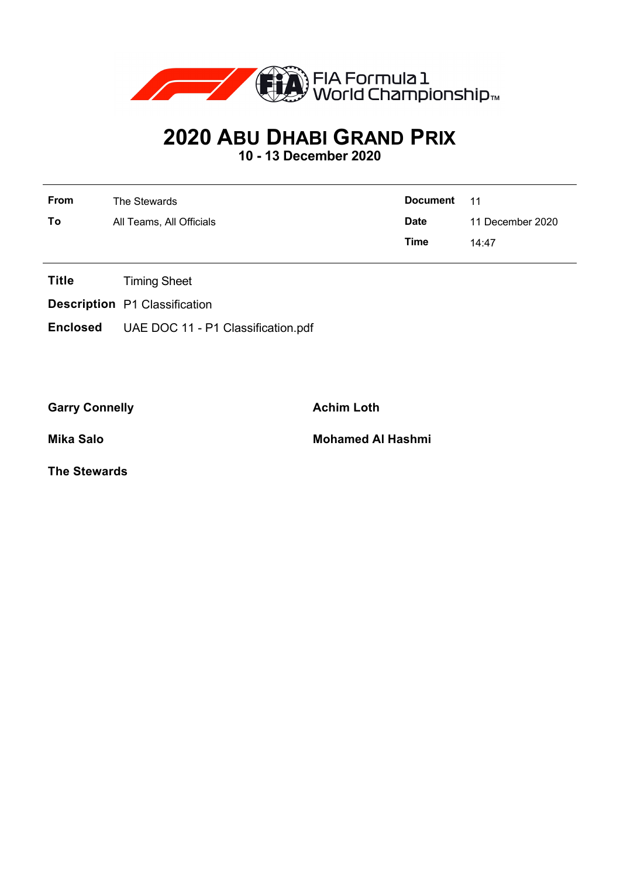

## **2020 ABU DHABI GRAND PRIX**

**10 - 13 December 2020**

| <b>From</b> | The Stewards             | Document 11 |                  |
|-------------|--------------------------|-------------|------------------|
| To          | All Teams, All Officials | <b>Date</b> | 11 December 2020 |
|             |                          | Time        | 14:47            |

- **Title** Timing Sheet
- **Description** P1 Classification
- **Enclosed** UAE DOC 11 P1 Classification.pdf

Garry Connelly **Achim Loth** 

**Mika Salo Mohamed Al Hashmi**

**The Stewards**